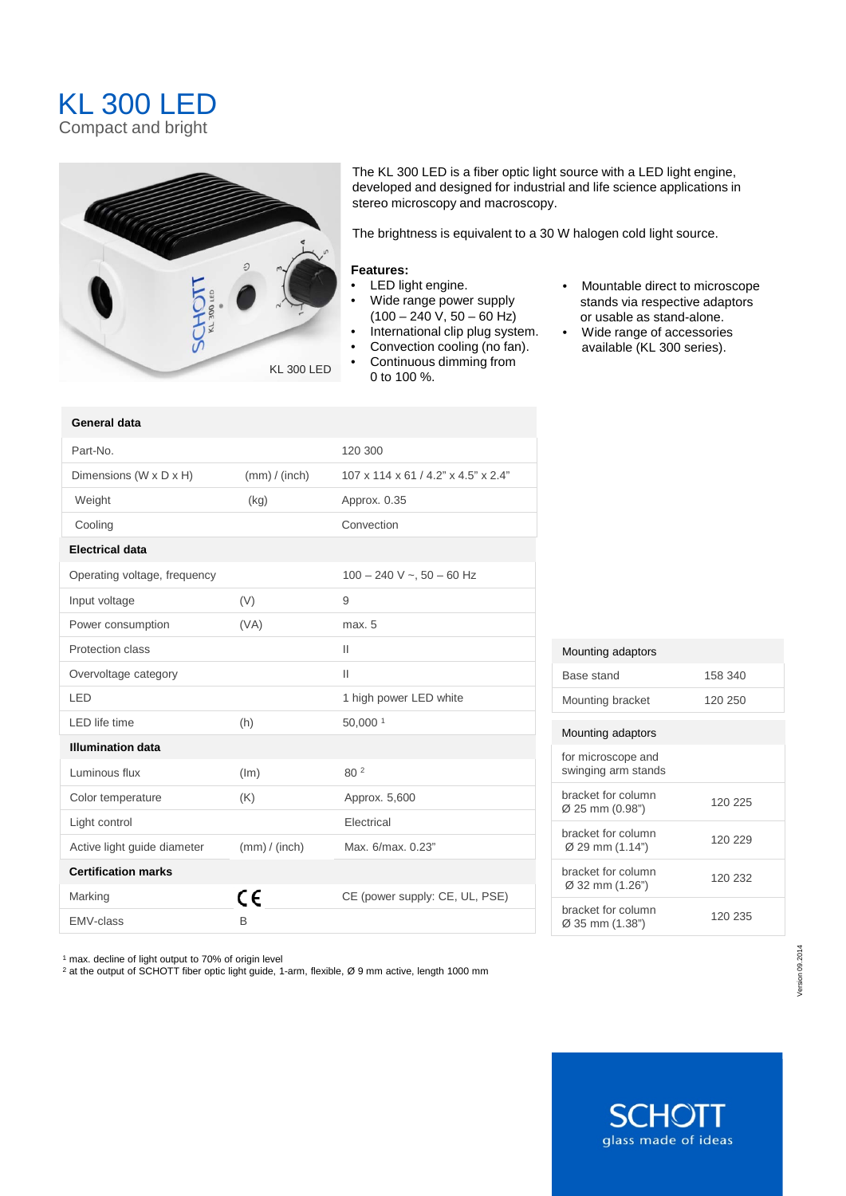## KL 300 LED Compact and bright



The KL 300 LED is a fiber optic light source with a LED light engine, developed and designed for industrial and life science applications in stereo microscopy and macroscopy.

The brightness is equivalent to a 30 W halogen cold light source.

## **Features:**

- LED light engine.
- Wide range power supply  $(100 - 240 \text{ V}, 50 - 60 \text{ Hz})$
- International clip plug system.
- Convection cooling (no fan).
- Continuous dimming from 0 to 100 %.
- Mountable direct to microscope stands via respective adaptors or usable as stand-alone.
- Wide range of accessories available (KL 300 series).

| General data                 |               |                                     |
|------------------------------|---------------|-------------------------------------|
| Part-No.                     |               | 120 300                             |
| Dimensions (W x D x H)       | (mm) / (inch) | 107 x 114 x 61 / 4.2" x 4.5" x 2.4" |
| Weight                       | (kg)          | Approx. 0.35                        |
| Cooling                      |               | Convection                          |
| <b>Electrical data</b>       |               |                                     |
| Operating voltage, frequency |               | $100 - 240$ V ~, $50 - 60$ Hz       |
| Input voltage                | (V)           | 9                                   |
| Power consumption            | (VA)          | max. 5                              |
| Protection class             |               | $\mathbf{H}$                        |
| Overvoltage category         |               | $\mathbf{H}$                        |
| I FD                         |               | 1 high power LED white              |
| <b>LED</b> life time         | (h)           | 50,000 1                            |
| <b>Illumination data</b>     |               |                                     |
| Luminous flux                | (lm)          | 80 <sup>2</sup>                     |
| Color temperature            | (K)           | Approx. 5,600                       |
| Light control                |               | Electrical                          |
| Active light guide diameter  | (mm) / (inch) | Max. 6/max. 0.23"                   |
| <b>Certification marks</b>   |               |                                     |
| Marking                      | C€            | CE (power supply: CE, UL, PSE)      |
| <b>EMV-class</b>             | B             |                                     |

## Mounting adaptors

| Base stand                                | 158 340 |
|-------------------------------------------|---------|
| Mounting bracket                          | 120 250 |
|                                           |         |
| Mounting adaptors                         |         |
| for microscope and<br>swinging arm stands |         |
| bracket for column<br>Ø 25 mm (0.98")     | 120 225 |
| bracket for column<br>Ø 29 mm (1.14")     | 120 229 |
| bracket for column<br>Ø 32 mm (1.26")     | 120 232 |
| bracket for column<br>Ø 35 mm (1.38")     | 120 235 |

<sup>1</sup> max. decline of light output to 70% of origin level

<sup>2</sup> at the output of SCHOTT fiber optic light guide, 1-arm, flexible, Ø 9 mm active, length 1000 mm